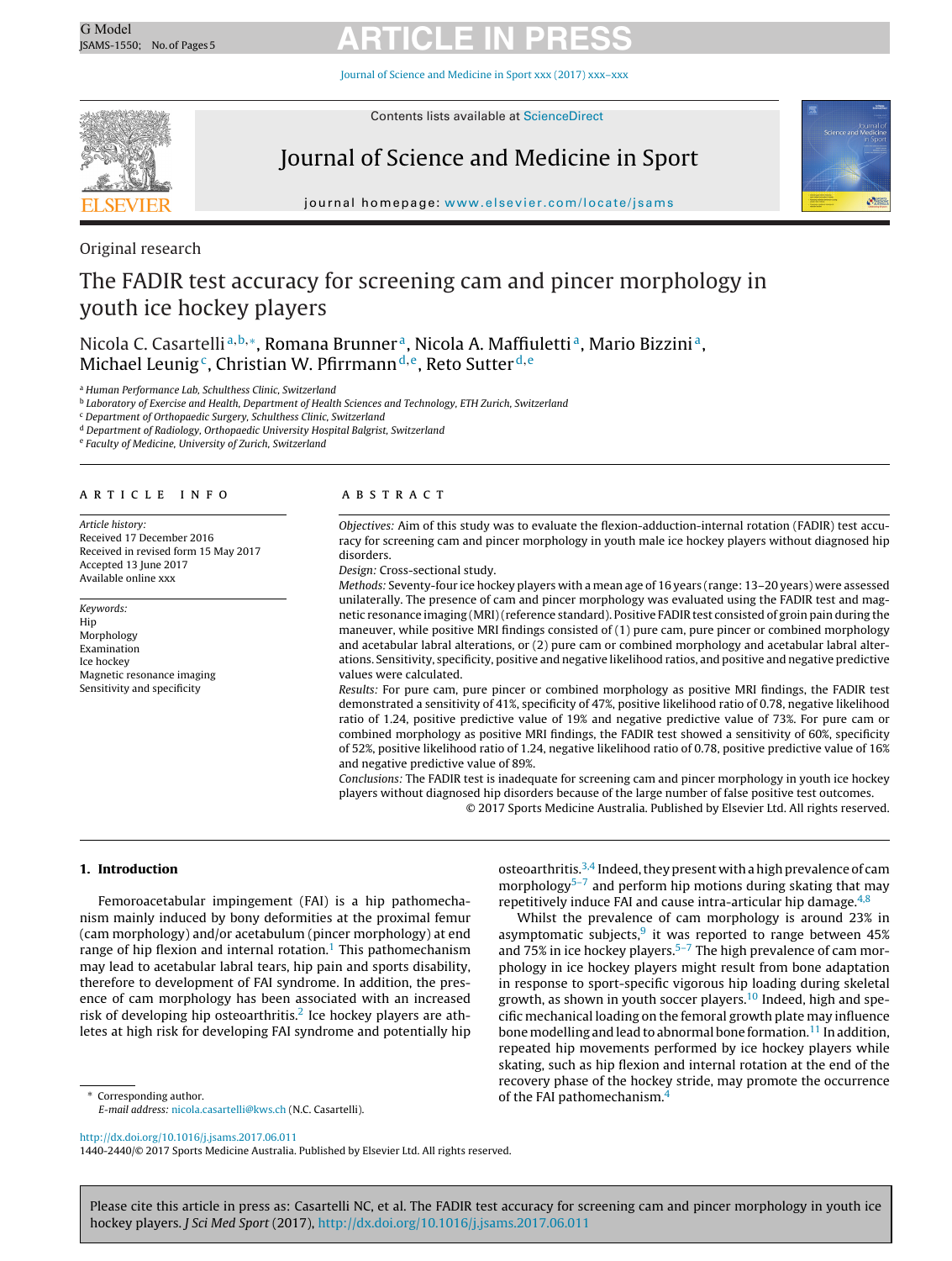Journal of Science and [Medicine](dx.doi.org/10.1016/j.jsams.2017.06.011) in Sport xxx (2017) xxx–xxx



Contents lists available at [ScienceDirect](http://www.sciencedirect.com/science/journal/14402440)

### Journal of Science and Medicine in Sport



journal homepage: [www.elsevier.com/locate/jsams](http://www.elsevier.com/locate/jsams)

### Original research

### The FADIR test accuracy for screening cam and pincer morphology in youth ice hockey players

Nicola C. Casartelli<sup>a, b,\*</sup>, Romana Brunner<sup>a</sup>, Nicola A. Maffiuletti<sup>a</sup>, Mario Bizzini<sup>a</sup>, Michael Leunig<sup>c</sup>, Christian W. Pfirrmann<sup>d,e</sup>, Reto Sutter<sup>d,e</sup>

<sup>a</sup> Human Performance Lab, Schulthess Clinic, Switzerland

**b Laboratory of Exercise and Health, Department of Health Sciences and Technology, ETH Zurich, Switzerland** 

<sup>c</sup> Department of Orthopaedic Surgery, Schulthess Clinic, Switzerland

<sup>d</sup> Department of Radiology, Orthopaedic University Hospital Balgrist, Switzerland

<sup>e</sup> Faculty of Medicine, University of Zurich, Switzerland

#### a r t i c l e i n f o

Article history: Received 17 December 2016 Received in revised form 15 May 2017 Accepted 13 June 2017 Available online xxx

Keywords: Hip Morphology Examination Ice hockey Magnetic resonance imaging Sensitivity and specificity

#### A B S T R A C T

Objectives: Aim of this study was to evaluate the flexion-adduction-internal rotation (FADIR) test accuracy for screening cam and pincer morphology in youth male ice hockey players without diagnosed hip disorders.

Design: Cross-sectional study.

Methods: Seventy-four ice hockey players with a mean age of 16 years (range: 13–20 years) were assessed unilaterally. The presence of cam and pincer morphology was evaluated using the FADIR test and magnetic resonance imaging (MRI)(reference standard). Positive FADIR test consisted of groin pain during the maneuver, while positive MRI findings consisted of (1) pure cam, pure pincer or combined morphology and acetabular labral alterations, or (2) pure cam or combined morphology and acetabular labral alterations. Sensitivity, specificity, positive and negative likelihood ratios, and positive and negative predictive values were calculated.

Results: For pure cam, pure pincer or combined morphology as positive MRI findings, the FADIR test demonstrated a sensitivity of 41%, specificity of 47%, positive likelihood ratio of 0.78, negative likelihood ratio of 1.24, positive predictive value of 19% and negative predictive value of 73%. For pure cam or combined morphology as positive MRI findings, the FADIR test showed a sensitivity of 60%, specificity of 52%, positive likelihood ratio of 1.24, negative likelihood ratio of 0.78, positive predictive value of 16% and negative predictive value of 89%.

Conclusions: The FADIR test is inadequate for screening cam and pincer morphology in youth ice hockey players without diagnosed hip disorders because of the large number of false positive test outcomes.

© 2017 Sports Medicine Australia. Published by Elsevier Ltd. All rights reserved.

#### **1. Introduction**

Femoroacetabular impingement (FAI) is a hip pathomechanism mainly induced by bony deformities at the proximal femur (cam morphology) and/or acetabulum (pincer morphology) at end range of hip flexion and internal rotation.<sup>[1](#page-4-0)</sup> This pathomechanism may lead to acetabular labral tears, hip pain and sports disability, therefore to development of FAI syndrome. In addition, the presence of cam morphology has been associated with an increased risk of developing hip osteoarthritis.<sup>2</sup> Ice hockey players are athletes at high risk for developing FAI syndrome and potentially hip

∗ Corresponding author. E-mail address: [nicola.casartelli@kws.ch](mailto:nicola.casartelli@kws.ch) (N.C. Casartelli). osteoarthritis.<sup>[3,4](#page-4-0)</sup> Indeed, they present with a high prevalence of cam morphology<sup>5-7</sup> and perform hip motions during skating that may repetitively induce FAI and cause intra-articular hip damage. $4,8$ 

Whilst the prevalence of cam morphology is around 23% in asymptomatic subjects, $9$  it was reported to range between 45% and  $75\%$  in ice hockey players.<sup>5-7</sup> The high prevalence of cam morphology in ice hockey players might result from bone adaptation in response to sport-specific vigorous hip loading during skeletal growth, as shown in youth soccer players.<sup>[10](#page-4-0)</sup> Indeed, high and specific mechanical loading on the femoral growth plate may influence bone modelling and lead to abnormal bone formation.<sup>11</sup> In addition, repeated hip movements performed by ice hockey players while skating, such as hip flexion and internal rotation at the end of the recovery phase of the hockey stride, may promote the occurrence of the FAI pathomechanism.<sup>[4](#page-4-0)</sup>

[http://dx.doi.org/10.1016/j.jsams.2017.06.011](dx.doi.org/10.1016/j.jsams.2017.06.011)

1440-2440/© 2017 Sports Medicine Australia. Published by Elsevier Ltd. All rights reserved.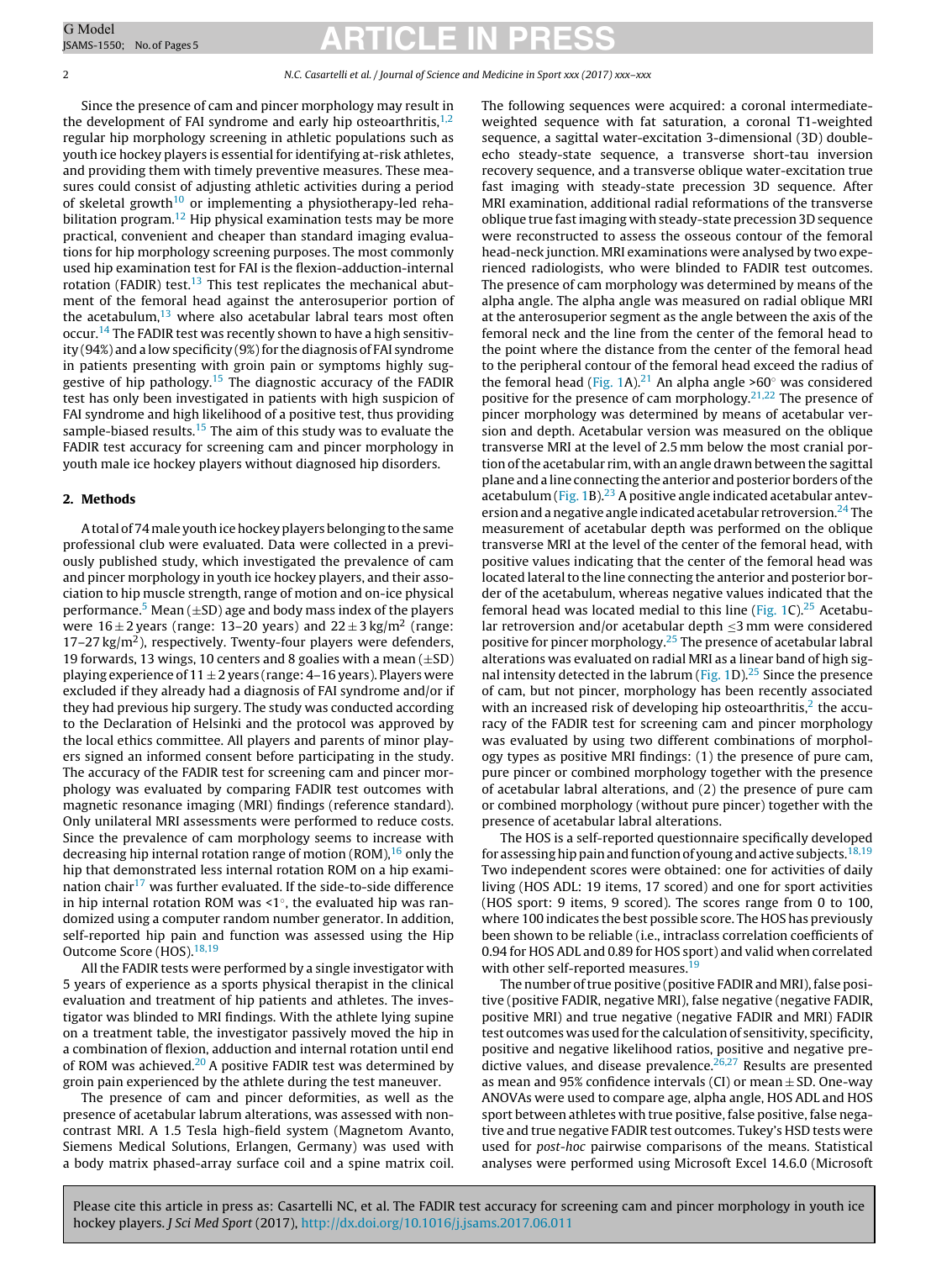#### 2 N.C. Casartelli et al. / Journal of Science and Medicine in Sport xxx (2017) xxx–xxx

Since the presence of cam and pincer morphology may result in the development of FAI syndrome and early hip osteoarthritis, $1,2$ regular hip morphology screening in athletic populations such as youth ice hockey players is essential for identifying at-risk athletes, and providing them with timely preventive measures. These measures could consist of adjusting athletic activities during a period of skeletal growth<sup>[10](#page-4-0)</sup> or implementing a physiotherapy-led reha-bilitation program.<sup>[12](#page-4-0)</sup> Hip physical examination tests may be more practical, convenient and cheaper than standard imaging evaluations for hip morphology screening purposes. The most commonly used hip examination test for FAI is the flexion-adduction-internal rotation (FADIR) test. $13$  This test replicates the mechanical abutment of the femoral head against the anterosuperior portion of the acetabulum, $13$  where also acetabular labral tears most often occur.<sup>[14](#page-4-0)</sup> The FADIR test was recently shown to have a high sensitivity  $(94%)$  and a low specificity  $(9%)$  for the diagnosis of FAI syndrome in patients presenting with groin pain or symptoms highly suggestive of hip pathology.<sup>15</sup> The diagnostic accuracy of the FADIR test has only been investigated in patients with high suspicion of FAI syndrome and high likelihood of a positive test, thus providing sample-biased results.<sup>15</sup> The aim of this study was to evaluate the FADIR test accuracy for screening cam and pincer morphology in youth male ice hockey players without diagnosed hip disorders.

#### **2. Methods**

A total of 74 male youth ice hockey players belonging to the same professional club were evaluated. Data were collected in a previously published study, which investigated the prevalence of cam and pincer morphology in youth ice hockey players, and their association to hip muscle strength, range of motion and on-ice physical performance.<sup>[5](#page-4-0)</sup> Mean ( $\pm$ SD) age and body mass index of the players were  $16 \pm 2$  years (range: 13–20 years) and  $22 \pm 3$  kg/m<sup>2</sup> (range:  $17-27 \text{ kg/m}^2$ ), respectively. Twenty-four players were defenders, 19 forwards, 13 wings, 10 centers and 8 goalies with a mean  $(\pm SD)$ playing experience of  $11 \pm 2$  years (range: 4–16 years). Players were excluded if they already had a diagnosis of FAI syndrome and/or if they had previous hip surgery. The study was conducted according to the Declaration of Helsinki and the protocol was approved by the local ethics committee. All players and parents of minor players signed an informed consent before participating in the study. The accuracy of the FADIR test for screening cam and pincer morphology was evaluated by comparing FADIR test outcomes with magnetic resonance imaging (MRI) findings (reference standard). Only unilateral MRI assessments were performed to reduce costs. Since the prevalence of cam morphology seems to increase with decreasing hip internal rotation range of motion (ROM), $16$  only the hip that demonstrated less internal rotation ROM on a hip exami-nation chair<sup>[17](#page-4-0)</sup> was further evaluated. If the side-to-side difference in hip internal rotation ROM was <1◦, the evaluated hip was randomized using a computer random number generator. In addition, self-reported hip pain and function was assessed using the Hip Outcome Score (HOS)[.18,19](#page-4-0)

All the FADIR tests were performed by a single investigator with 5 years of experience as a sports physical therapist in the clinical evaluation and treatment of hip patients and athletes. The investigator was blinded to MRI findings. With the athlete lying supine on a treatment table, the investigator passively moved the hip in a combination of flexion, adduction and internal rotation until end of ROM was achieved.<sup>[20](#page-4-0)</sup> A positive FADIR test was determined by groin pain experienced by the athlete during the test maneuver.

The presence of cam and pincer deformities, as well as the presence of acetabular labrum alterations, was assessed with noncontrast MRI. A 1.5 Tesla high-field system (Magnetom Avanto, Siemens Medical Solutions, Erlangen, Germany) was used with a body matrix phased-array surface coil and a spine matrix coil. The following sequences were acquired: a coronal intermediateweighted sequence with fat saturation, a coronal T1-weighted sequence, a sagittal water-excitation 3-dimensional (3D) doubleecho steady-state sequence, a transverse short-tau inversion recovery sequence, and a transverse oblique water-excitation true fast imaging with steady-state precession 3D sequence. After MRI examination, additional radial reformations of the transverse oblique true fastimaging with steady-state precession 3D sequence were reconstructed to assess the osseous contour of the femoral head-neck junction. MRI examinations were analysed by two experienced radiologists, who were blinded to FADIR test outcomes. The presence of cam morphology was determined by means of the alpha angle. The alpha angle was measured on radial oblique MRI at the anterosuperior segment as the angle between the axis of the femoral neck and the line from the center of the femoral head to the point where the distance from the center of the femoral head to the peripheral contour of the femoral head exceed the radius of the femoral head ([Fig.](#page-2-0) 1A).<sup>[21](#page-4-0)</sup> An alpha angle >60 $\degree$  was considered positive for the presence of cam morphology.<sup>21,22</sup> The presence of pincer morphology was determined by means of acetabular version and depth. Acetabular version was measured on the oblique transverse MRI at the level of 2.5 mm below the most cranial portion ofthe acetabular rim, with an angle drawn between the sagittal plane and a line connecting the anterior and posterior borders ofthe acetabulum ([Fig.](#page-2-0) 1B).<sup>23</sup> A positive angle indicated acetabular anteversion and a negative angle indicated acetabular retroversion.<sup>24</sup> The measurement of acetabular depth was performed on the oblique transverse MRI at the level of the center of the femoral head, with positive values indicating that the center of the femoral head was located lateral to the line connecting the anterior and posterior border of the acetabulum, whereas negative values indicated that the femoral head was located medial to this line [\(Fig.](#page-2-0) 1C).<sup>25</sup> Acetabular retroversion and/or acetabular depth  $\leq$ 3 mm were considered positive for pincer morphology[.25](#page-4-0) The presence of acetabular labral alterations was evaluated on radial MRI as a linear band of high sig-nal intensity detected in the labrum [\(Fig.](#page-2-0) 1D).<sup>[25](#page-4-0)</sup> Since the presence of cam, but not pincer, morphology has been recently associated with an increased risk of developing hip osteoarthritis, $<sup>2</sup>$  the accu-</sup> racy of the FADIR test for screening cam and pincer morphology was evaluated by using two different combinations of morphology types as positive MRI findings: (1) the presence of pure cam, pure pincer or combined morphology together with the presence of acetabular labral alterations, and (2) the presence of pure cam or combined morphology (without pure pincer) together with the presence of acetabular labral alterations.

The HOS is a self-reported questionnaire specifically developed for assessing hip pain and function of young and active subjects.  $^{18,19}$  $^{18,19}$  $^{18,19}$ Two independent scores were obtained: one for activities of daily living (HOS ADL: 19 items, 17 scored) and one for sport activities (HOS sport: 9 items, 9 scored). The scores range from 0 to 100, where 100 indicates the best possible score. The HOS has previously been shown to be reliable (i.e., intraclass correlation coefficients of 0.94 for HOS ADL and 0.89 for HOS sport) and valid when correlated with other self-reported measures.<sup>19</sup>

The number of true positive (positive FADIR and MRI), false positive (positive FADIR, negative MRI), false negative (negative FADIR, positive MRI) and true negative (negative FADIR and MRI) FADIR test outcomes was used for the calculation of sensitivity, specificity, positive and negative likelihood ratios, positive and negative predictive values, and disease prevalence. $26,27$  Results are presented as mean and 95% confidence intervals (CI) or mean  $\pm$  SD. One-way ANOVAs were used to compare age, alpha angle, HOS ADL and HOS sport between athletes with true positive, false positive, false negative and true negative FADIR test outcomes. Tukey's HSD tests were used for post-hoc pairwise comparisons of the means. Statistical analyses were performed using Microsoft Excel 14.6.0 (Microsoft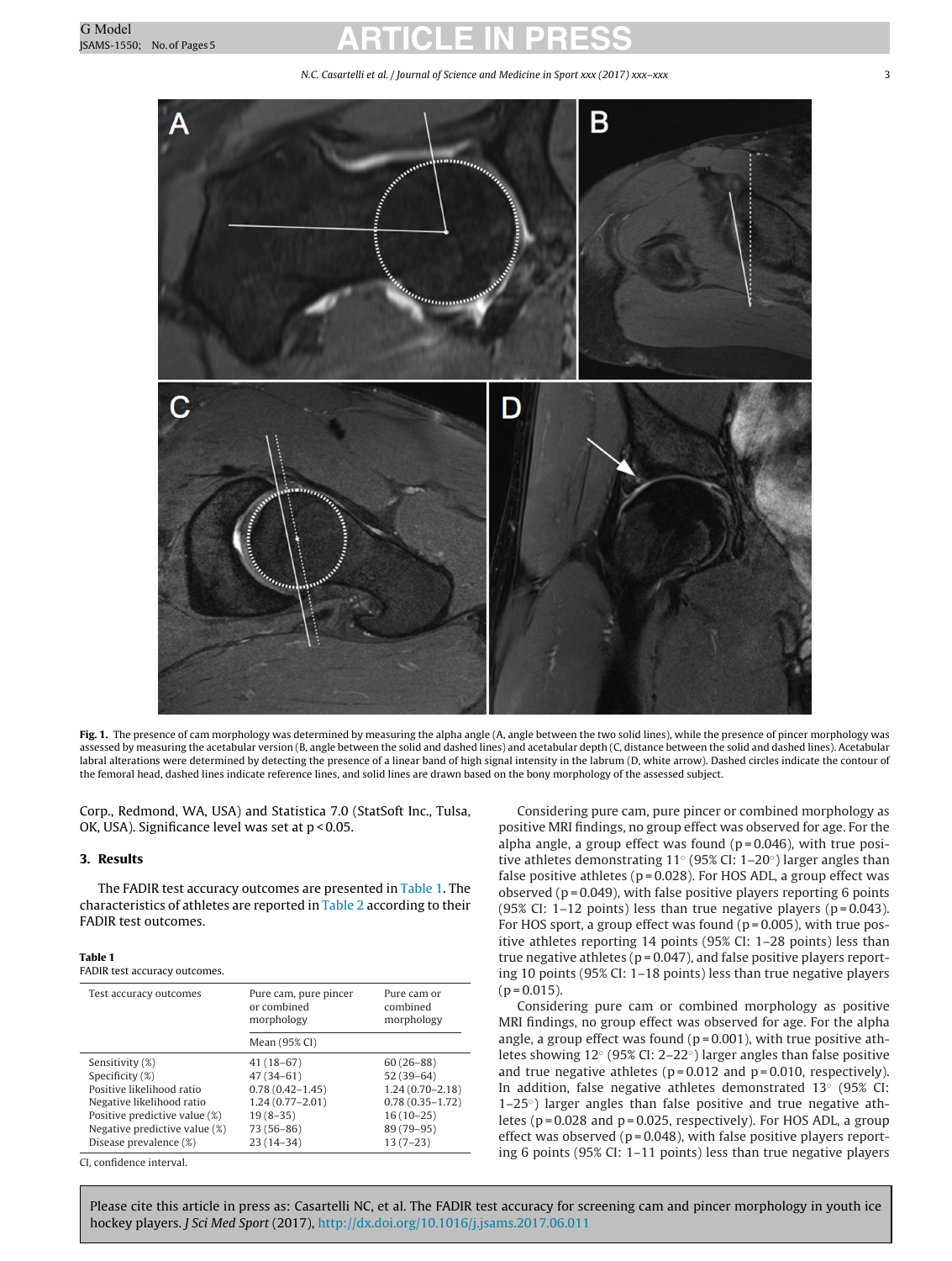N.C. Casartelli et al. / Journal of Science and Medicine in Sport xxx (2017) xxx–xxx 3

<span id="page-2-0"></span>

Fig. 1. The presence of cam morphology was determined by measuring the alpha angle (A, angle between the two solid lines), while the presence of pincer morphology was assessed by measuring the acetabular version (B, angle between the solid and dashed lines) and acetabular depth (C, distance between the solid and dashed lines). Acetabular labral alterations were determined by detecting the presence of a linear band of high signal intensity in the labrum (D, white arrow). Dashed circles indicate the contour of the femoral head, dashed lines indicate reference lines, and solid lines are drawn based on the bony morphology of the assessed subject.

Corp., Redmond, WA, USA) and Statistica 7.0 (StatSoft Inc., Tulsa, OK, USA). Significance level was set at p < 0.05.

#### **3. Results**

The FADIR test accuracy outcomes are presented in Table 1. The characteristics of athletes are reported in [Table](#page-3-0) 2 according to their FADIR test outcomes.

#### **Table 1**

#### FADIR test accuracy outcomes.

| Test accuracy outcomes        | Pure cam, pure pincer<br>or combined<br>morphology | Pure cam or<br>combined<br>morphology |  |
|-------------------------------|----------------------------------------------------|---------------------------------------|--|
|                               | Mean (95% CI)                                      |                                       |  |
| Sensitivity (%)               | $41(18-67)$                                        | $60(26-88)$                           |  |
| Specificity (%)               | $47(34-61)$                                        | $52(39-64)$                           |  |
| Positive likelihood ratio     | $0.78(0.42 - 1.45)$                                | $1.24(0.70 - 2.18)$                   |  |
| Negative likelihood ratio     | $1.24(0.77 - 2.01)$                                | $0.78(0.35 - 1.72)$                   |  |
| Positive predictive value (%) | $19(8-35)$                                         | $16(10-25)$                           |  |
| Negative predictive value (%) | 73 (56-86)                                         | 89 (79-95)                            |  |
| Disease prevalence (%)        | $23(14-34)$                                        | $13(7-23)$                            |  |

CI, confidence interval.

Considering pure cam, pure pincer or combined morphology as positive MRI findings, no group effect was observed for age. For the alpha angle, a group effect was found  $(p=0.046)$ , with true positive athletes demonstrating 11◦ (95% CI: 1–20◦) larger angles than false positive athletes ( $p = 0.028$ ). For HOS ADL, a group effect was observed ( $p = 0.049$ ), with false positive players reporting 6 points (95% CI: 1–12 points) less than true negative players ( $p = 0.043$ ). For HOS sport, a group effect was found ( $p = 0.005$ ), with true positive athletes reporting 14 points (95% CI: 1–28 points) less than true negative athletes ( $p = 0.047$ ), and false positive players reporting 10 points (95% CI: 1–18 points) less than true negative players  $(p = 0.015)$ .

Considering pure cam or combined morphology as positive MRI findings, no group effect was observed for age. For the alpha angle, a group effect was found ( $p = 0.001$ ), with true positive athletes showing 12◦ (95% CI: 2–22◦) larger angles than false positive and true negative athletes ( $p = 0.012$  and  $p = 0.010$ , respectively). In addition, false negative athletes demonstrated 13◦ (95% CI: 1–25◦) larger angles than false positive and true negative athletes ( $p = 0.028$  and  $p = 0.025$ , respectively). For HOS ADL, a group effect was observed ( $p = 0.048$ ), with false positive players reporting 6 points (95% CI: 1–11 points) less than true negative players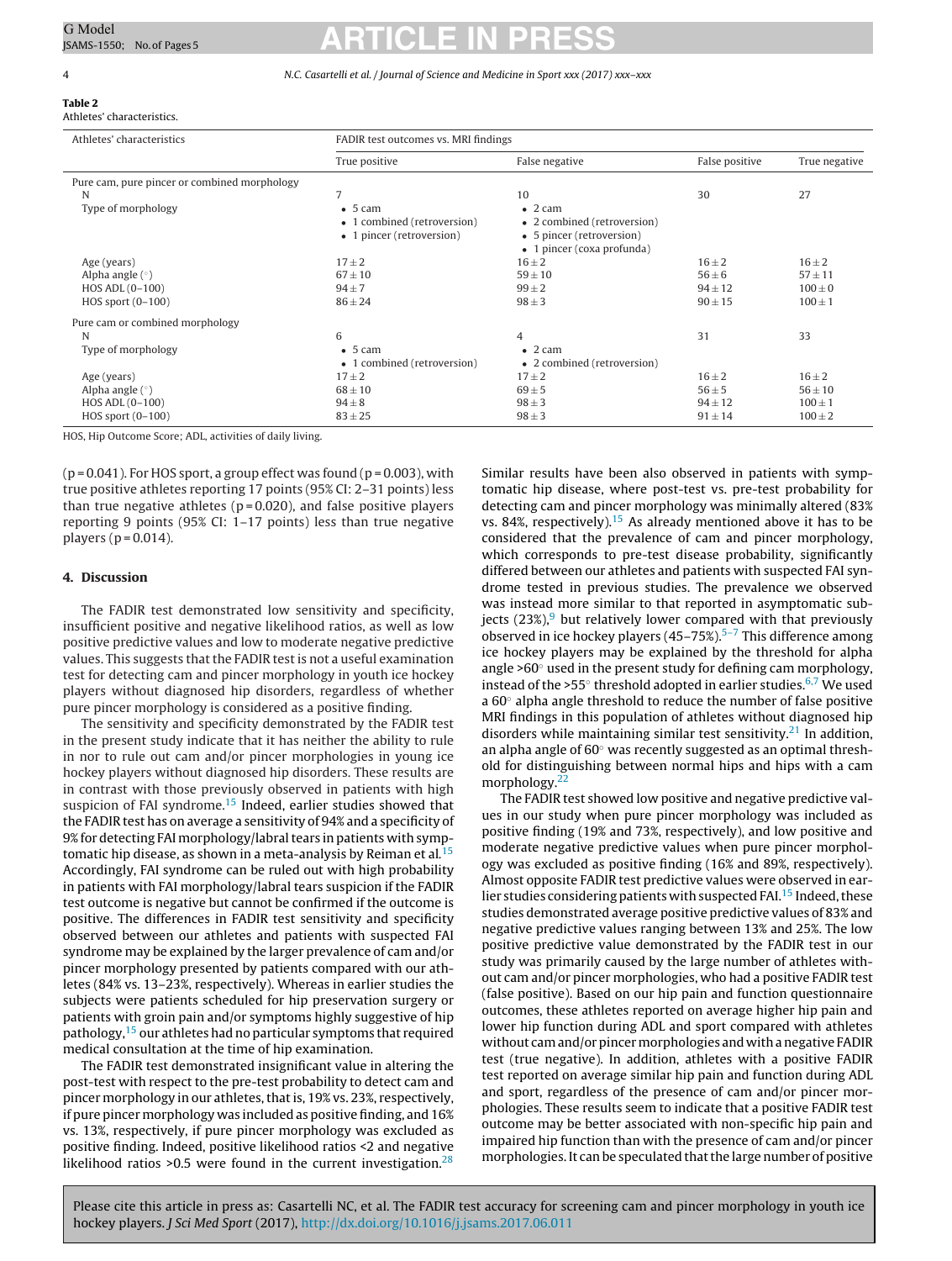#### **Table 2** Athletes' characteristics.

# <span id="page-3-0"></span>G Model G Model **ARTICLE IN PRESS**

#### 4 N.C. Casartelli et al. / Journal of Science and Medicine in Sport xxx (2017) xxx–xxx

| Athletes' characteristics                    | FADIR test outcomes vs. MRI findings                                 |                                                                                                           |                |               |  |
|----------------------------------------------|----------------------------------------------------------------------|-----------------------------------------------------------------------------------------------------------|----------------|---------------|--|
|                                              | True positive                                                        | False negative                                                                                            | False positive | True negative |  |
| Pure cam, pure pincer or combined morphology |                                                                      |                                                                                                           |                |               |  |
| N                                            | 7                                                                    | 10                                                                                                        | 30             | 27            |  |
| Type of morphology                           | $-5$ cam<br>• 1 combined (retroversion)<br>• 1 pincer (retroversion) | $\bullet$ 2 cam<br>• 2 combined (retroversion)<br>• 5 pincer (retroversion)<br>• 1 pincer (coxa profunda) |                |               |  |
| Age (years)                                  | $17 \pm 2$                                                           | $16 \pm 2$                                                                                                | $16 \pm 2$     | $16 \pm 2$    |  |
| Alpha angle $(°)$                            | $67 \pm 10$                                                          | $59 \pm 10$                                                                                               | $56 \pm 6$     | $57 + 11$     |  |
| HOS ADL (0-100)                              | $94 \pm 7$                                                           | $99 \pm 2$                                                                                                | $94 \pm 12$    | $100 \pm 0$   |  |
| HOS sport $(0-100)$                          | $86 \pm 24$                                                          | $98 \pm 3$                                                                                                | $90 \pm 15$    | $100 \pm 1$   |  |
| Pure cam or combined morphology              |                                                                      |                                                                                                           |                |               |  |
| N                                            | 6                                                                    | 4                                                                                                         | 31             | 33            |  |
| Type of morphology                           | $-5$ cam<br>• 1 combined (retroversion)                              | $\bullet$ 2 cam<br>• 2 combined (retroversion)                                                            |                |               |  |
| Age (years)                                  | $17 \pm 2$                                                           | $17 + 2$                                                                                                  | $16 \pm 2$     | $16 + 2$      |  |
| Alpha angle $(°)$                            | $68 \pm 10$                                                          | $69 + 5$                                                                                                  | $56 \pm 5$     | $56 \pm 10$   |  |
| HOS ADL (0-100)                              | $94\pm8$                                                             | $98 \pm 3$                                                                                                | $94 \pm 12$    | $100 \pm 1$   |  |
| HOS sport $(0-100)$                          | $83 \pm 25$                                                          | $98 \pm 3$                                                                                                | $91 \pm 14$    | $100 \pm 2$   |  |

HOS, Hip Outcome Score; ADL, activities of daily living.

 $(p = 0.041)$ . For HOS sport, a group effect was found  $(p = 0.003)$ , with true positive athletes reporting 17 points (95% CI: 2–31 points) less than true negative athletes ( $p = 0.020$ ), and false positive players reporting 9 points (95% CI: 1–17 points) less than true negative players ( $p = 0.014$ ).

#### **4. Discussion**

The FADIR test demonstrated low sensitivity and specificity, insufficient positive and negative likelihood ratios, as well as low positive predictive values and low to moderate negative predictive values. This suggests that the FADIR test is not a useful examination test for detecting cam and pincer morphology in youth ice hockey players without diagnosed hip disorders, regardless of whether pure pincer morphology is considered as a positive finding.

The sensitivity and specificity demonstrated by the FADIR test in the present study indicate that it has neither the ability to rule in nor to rule out cam and/or pincer morphologies in young ice hockey players without diagnosed hip disorders. These results are in contrast with those previously observed in patients with high suspicion of FAI syndrome.<sup>15</sup> Indeed, earlier studies showed that the FADIR test has on average a sensitivity of 94% and a specificity of 9% for detecting FAI morphology/labral tears in patients with symp-tomatic hip disease, as shown in a meta-analysis by Reiman et al.<sup>[15](#page-4-0)</sup> Accordingly, FAI syndrome can be ruled out with high probability in patients with FAI morphology/labral tears suspicion if the FADIR test outcome is negative but cannot be confirmed if the outcome is positive. The differences in FADIR test sensitivity and specificity observed between our athletes and patients with suspected FAI syndrome may be explained by the larger prevalence of cam and/or pincer morphology presented by patients compared with our athletes (84% vs. 13–23%, respectively). Whereas in earlier studies the subjects were patients scheduled for hip preservation surgery or patients with groin pain and/or symptoms highly suggestive of hip pathology,<sup>15</sup> our athletes had no particular symptoms that required medical consultation at the time of hip examination.

The FADIR test demonstrated insignificant value in altering the post-test with respect to the pre-test probability to detect cam and pincer morphology in our athletes, that is, 19% vs. 23%, respectively, if pure pincer morphology was included as positive finding, and 16% vs. 13%, respectively, if pure pincer morphology was excluded as positive finding. Indeed, positive likelihood ratios <2 and negative likelihood ratios  $>0.5$  were found in the current investigation.<sup>[28](#page-4-0)</sup> Similar results have been also observed in patients with symptomatic hip disease, where post-test vs. pre-test probability for detecting cam and pincer morphology was minimally altered (83% vs. 84%, respectively).<sup>15</sup> As already mentioned above it has to be considered that the prevalence of cam and pincer morphology, which corresponds to pre-test disease probability, significantly differed between our athletes and patients with suspected FAI syndrome tested in previous studies. The prevalence we observed was instead more similar to that reported in asymptomatic subjects  $(23\%)$ <sup>[9](#page-4-0)</sup> but relatively lower compared with that previously observed in ice hockey players (4[5–7](#page-4-0)5%).<sup>5-7</sup> This difference among ice hockey players may be explained by the threshold for alpha angle >60 $\degree$  used in the present study for defining cam morphology, instead of the >55 $^{\circ}$  threshold adopted in earlier studies.<sup>[6,7](#page-4-0)</sup> We used a  $60^\circ$  alpha angle threshold to reduce the number of false positive MRI findings in this population of athletes without diagnosed hip disorders while maintaining similar test sensitivity.<sup>[21](#page-4-0)</sup> In addition, an alpha angle of 60◦ was recently suggested as an optimal threshold for distinguishing between normal hips and hips with a cam morphology.<sup>22</sup>

The FADIR test showed low positive and negative predictive values in our study when pure pincer morphology was included as positive finding (19% and 73%, respectively), and low positive and moderate negative predictive values when pure pincer morphology was excluded as positive finding (16% and 89%, respectively). Almost opposite FADIR test predictive values were observed in earlier studies considering patients with suspected FAI.<sup>15</sup> Indeed, these studies demonstrated average positive predictive values of 83% and negative predictive values ranging between 13% and 25%. The low positive predictive value demonstrated by the FADIR test in our study was primarily caused by the large number of athletes without cam and/or pincer morphologies, who had a positive FADIR test (false positive). Based on our hip pain and function questionnaire outcomes, these athletes reported on average higher hip pain and lower hip function during ADL and sport compared with athletes without cam and/or pincer morphologies and with a negative FADIR test (true negative). In addition, athletes with a positive FADIR test reported on average similar hip pain and function during ADL and sport, regardless of the presence of cam and/or pincer morphologies. These results seem to indicate that a positive FADIR test outcome may be better associated with non-specific hip pain and impaired hip function than with the presence of cam and/or pincer morphologies. It can be speculated that the large number of positive